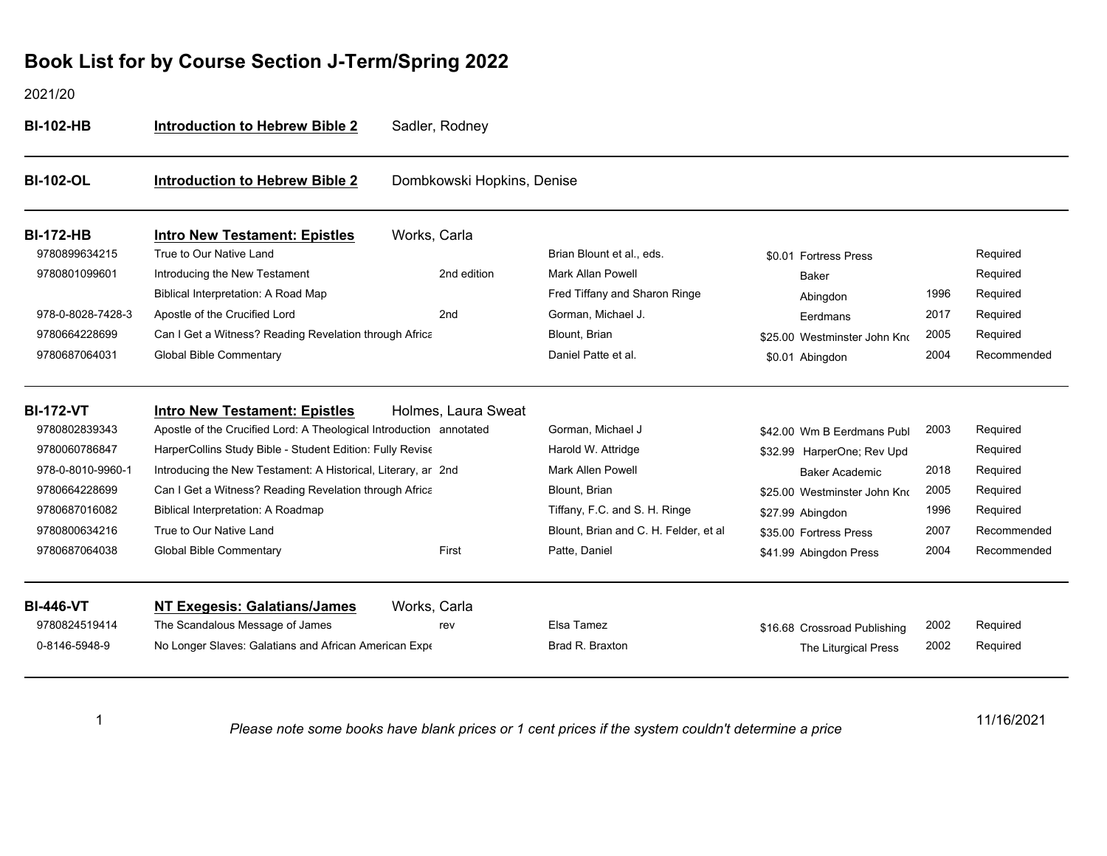2021/20

1

| <b>BI-102-OL</b>  |                                                                     |                            |                                       |                              |      |             |
|-------------------|---------------------------------------------------------------------|----------------------------|---------------------------------------|------------------------------|------|-------------|
|                   | <b>Introduction to Hebrew Bible 2</b>                               | Dombkowski Hopkins, Denise |                                       |                              |      |             |
| <b>BI-172-HB</b>  | <b>Intro New Testament: Epistles</b>                                | Works, Carla               |                                       |                              |      |             |
| 9780899634215     | True to Our Native Land                                             |                            | Brian Blount et al., eds.             | \$0.01 Fortress Press        |      | Required    |
| 9780801099601     | Introducing the New Testament                                       | 2nd edition                | <b>Mark Allan Powell</b>              | <b>Baker</b>                 |      | Required    |
|                   | Biblical Interpretation: A Road Map                                 |                            | Fred Tiffany and Sharon Ringe         | Abingdon                     | 1996 | Required    |
| 978-0-8028-7428-3 | Apostle of the Crucified Lord                                       | 2nd                        | Gorman, Michael J.                    | Eerdmans                     | 2017 | Required    |
| 9780664228699     | Can I Get a Witness? Reading Revelation through Africa              |                            | Blount, Brian                         | \$25.00 Westminster John Kno | 2005 | Required    |
| 9780687064031     | <b>Global Bible Commentary</b>                                      |                            | Daniel Patte et al.                   | \$0.01 Abingdon              | 2004 | Recommended |
| <b>BI-172-VT</b>  | <b>Intro New Testament: Epistles</b>                                | Holmes, Laura Sweat        |                                       |                              |      |             |
| 9780802839343     | Apostle of the Crucified Lord: A Theological Introduction annotated |                            | Gorman, Michael J                     | \$42.00 Wm B Eerdmans Publ   | 2003 | Required    |
| 9780060786847     | HarperCollins Study Bible - Student Edition: Fully Revise           |                            | Harold W. Attridge                    | \$32.99 HarperOne; Rev Upd   |      | Required    |
| 978-0-8010-9960-1 | Introducing the New Testament: A Historical, Literary, ar 2nd       |                            | <b>Mark Allen Powell</b>              | <b>Baker Academic</b>        | 2018 | Required    |
| 9780664228699     | Can I Get a Witness? Reading Revelation through Africa              |                            | Blount, Brian                         | \$25.00 Westminster John Kno | 2005 | Required    |
| 9780687016082     | Biblical Interpretation: A Roadmap                                  |                            | Tiffany, F.C. and S. H. Ringe         | \$27.99 Abingdon             | 1996 | Required    |
| 9780800634216     | True to Our Native Land                                             |                            | Blount, Brian and C. H. Felder, et al | \$35.00 Fortress Press       | 2007 | Recommended |
| 9780687064038     | <b>Global Bible Commentary</b>                                      | First                      | Patte, Daniel                         | \$41.99 Abingdon Press       | 2004 | Recommended |
| <b>BI-446-VT</b>  | <b>NT Exegesis: Galatians/James</b>                                 | Works, Carla               |                                       |                              |      |             |
| 9780824519414     | The Scandalous Message of James                                     | rev                        | Elsa Tamez                            | \$16.68 Crossroad Publishing | 2002 | Required    |
| 0-8146-5948-9     | No Longer Slaves: Galatians and African American Expe               |                            | Brad R. Braxton                       | The Liturgical Press         | 2002 | Required    |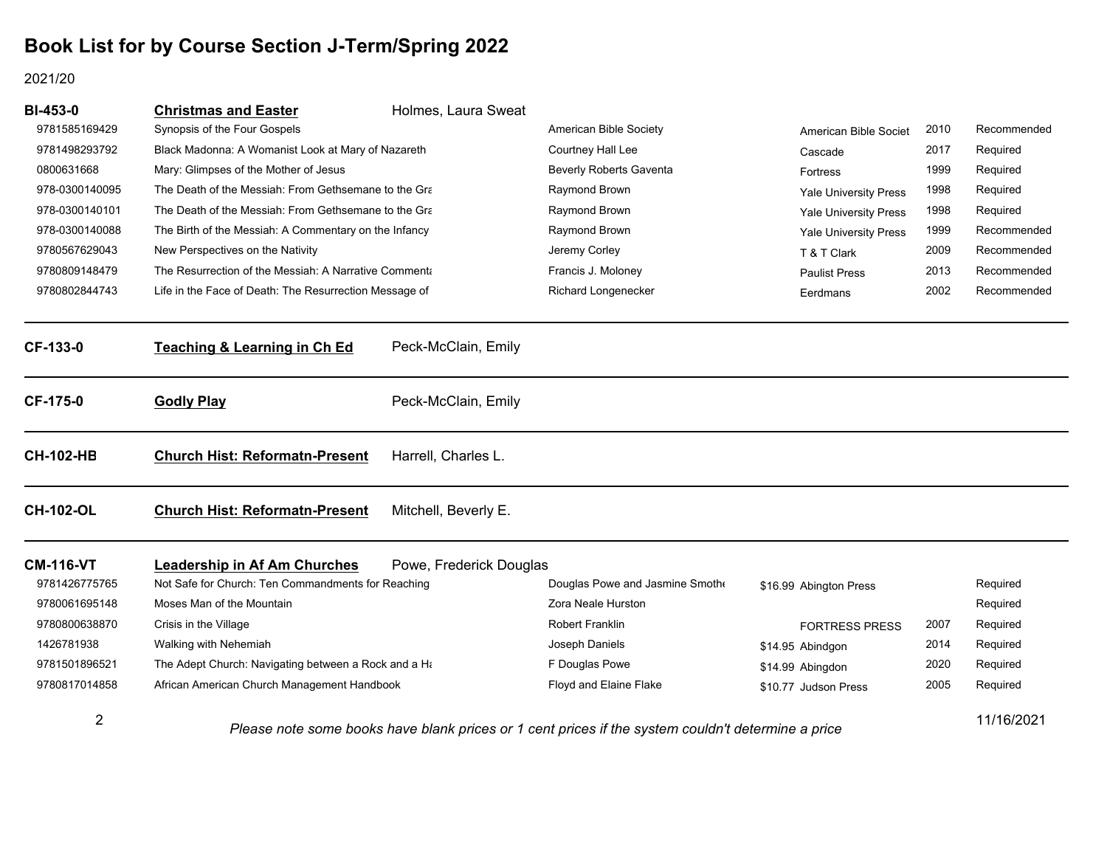#### 2021/20

| <b>BI-453-0</b>  | <b>Christmas and Easter</b>                            | Holmes, Laura Sweat     |                                                                                                    |                              |      |                                                    |
|------------------|--------------------------------------------------------|-------------------------|----------------------------------------------------------------------------------------------------|------------------------------|------|----------------------------------------------------|
| 9781585169429    | Synopsis of the Four Gospels                           |                         | American Bible Society                                                                             | American Bible Societ        | 2010 | Recommended                                        |
| 9781498293792    | Black Madonna: A Womanist Look at Mary of Nazareth     |                         | Courtney Hall Lee                                                                                  | Cascade                      | 2017 | Required                                           |
| 0800631668       | Mary: Glimpses of the Mother of Jesus                  |                         | <b>Beverly Roberts Gaventa</b>                                                                     | Fortress                     | 1999 | Required                                           |
| 978-0300140095   | The Death of the Messiah: From Gethsemane to the Gra   |                         | Raymond Brown                                                                                      | <b>Yale University Press</b> | 1998 | Required<br>Required<br>Recommended<br>Recommended |
| 978-0300140101   | The Death of the Messiah: From Gethsemane to the Gra   |                         | Raymond Brown                                                                                      | Yale University Press        | 1998 |                                                    |
| 978-0300140088   | The Birth of the Messiah: A Commentary on the Infancy  |                         | Raymond Brown                                                                                      | Yale University Press        | 1999 |                                                    |
| 9780567629043    | New Perspectives on the Nativity                       |                         | Jeremy Corley                                                                                      | T & T Clark                  | 2009 |                                                    |
| 9780809148479    | The Resurrection of the Messiah: A Narrative Commenta  |                         | Francis J. Moloney                                                                                 | <b>Paulist Press</b>         | 2013 | Recommended                                        |
| 9780802844743    | Life in the Face of Death: The Resurrection Message of |                         | <b>Richard Longenecker</b>                                                                         | Eerdmans                     | 2002 | Recommended                                        |
| CF-133-0         | <b>Teaching &amp; Learning in Ch Ed</b>                | Peck-McClain, Emily     |                                                                                                    |                              |      |                                                    |
| <b>CF-175-0</b>  | <b>Godly Play</b>                                      | Peck-McClain, Emily     |                                                                                                    |                              |      |                                                    |
| <b>CH-102-HB</b> | <b>Church Hist: Reformatn-Present</b>                  | Harrell, Charles L.     |                                                                                                    |                              |      |                                                    |
| <b>CH-102-OL</b> | <b>Church Hist: Reformatn-Present</b>                  | Mitchell, Beverly E.    |                                                                                                    |                              |      |                                                    |
| <b>CM-116-VT</b> | <b>Leadership in Af Am Churches</b>                    | Powe, Frederick Douglas |                                                                                                    |                              |      |                                                    |
| 9781426775765    | Not Safe for Church: Ten Commandments for Reaching     |                         | Douglas Powe and Jasmine Smothe                                                                    | \$16.99 Abington Press       |      | Required                                           |
| 9780061695148    | Moses Man of the Mountain                              |                         | Zora Neale Hurston                                                                                 |                              |      | Required                                           |
| 9780800638870    | Crisis in the Village                                  |                         | <b>Robert Franklin</b>                                                                             | <b>FORTRESS PRESS</b>        | 2007 | Required                                           |
| 1426781938       | Walking with Nehemiah                                  |                         | Joseph Daniels                                                                                     | \$14.95 Abindgon             | 2014 | Required                                           |
| 9781501896521    | The Adept Church: Navigating between a Rock and a Ha   |                         | F Douglas Powe                                                                                     | \$14.99 Abingdon             | 2020 | Required                                           |
| 9780817014858    | African American Church Management Handbook            |                         | Floyd and Elaine Flake                                                                             | \$10.77 Judson Press         | 2005 | Required                                           |
| $\overline{2}$   |                                                        |                         | Please note some books have blank prices or 1 cent prices if the system couldn't determine a price |                              |      | 11/16/2021                                         |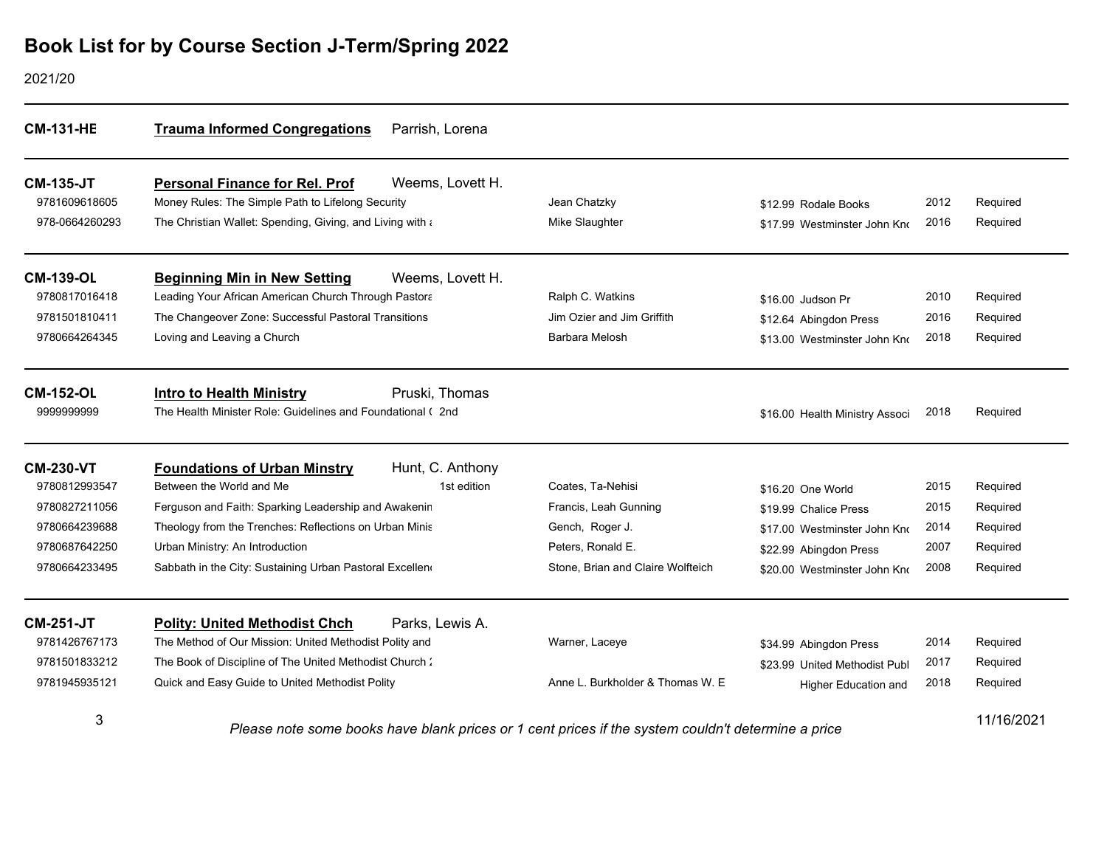| <b>CM-131-HE</b> | <b>Trauma Informed Congregations</b><br>Parrish, Lorena                                            |                                   |                                |      |            |
|------------------|----------------------------------------------------------------------------------------------------|-----------------------------------|--------------------------------|------|------------|
| <b>CM-135-JT</b> | Weems, Lovett H.<br><b>Personal Finance for Rel. Prof</b>                                          |                                   |                                |      |            |
| 9781609618605    | Money Rules: The Simple Path to Lifelong Security                                                  | Jean Chatzky                      | \$12.99 Rodale Books           | 2012 | Required   |
| 978-0664260293   | The Christian Wallet: Spending, Giving, and Living with a                                          | Mike Slaughter                    | \$17.99 Westminster John Kno   | 2016 | Required   |
| <b>CM-139-OL</b> | <b>Beginning Min in New Setting</b><br>Weems, Lovett H.                                            |                                   |                                |      |            |
| 9780817016418    | Leading Your African American Church Through Pastora                                               | Ralph C. Watkins                  | \$16.00 Judson Pr              | 2010 | Required   |
| 9781501810411    | The Changeover Zone: Successful Pastoral Transitions                                               | Jim Ozier and Jim Griffith        | \$12.64 Abingdon Press         | 2016 | Required   |
| 9780664264345    | Loving and Leaving a Church                                                                        | Barbara Melosh                    | \$13.00 Westminster John Kno   | 2018 | Required   |
| <b>CM-152-OL</b> | Pruski, Thomas<br><b>Intro to Health Ministry</b>                                                  |                                   |                                |      |            |
| 9999999999       | The Health Minister Role: Guidelines and Foundational (2nd)                                        |                                   | \$16.00 Health Ministry Associ | 2018 | Required   |
| <b>CM-230-VT</b> | Hunt, C. Anthony<br><b>Foundations of Urban Minstry</b>                                            |                                   |                                |      |            |
| 9780812993547    | Between the World and Me<br>1st edition                                                            | Coates, Ta-Nehisi                 | \$16.20 One World              | 2015 | Required   |
| 9780827211056    | Ferguson and Faith: Sparking Leadership and Awakenin                                               | Francis, Leah Gunning             | \$19.99 Chalice Press          | 2015 | Required   |
| 9780664239688    | Theology from the Trenches: Reflections on Urban Minis                                             | Gench, Roger J.                   | \$17.00 Westminster John Kno   | 2014 | Required   |
| 9780687642250    | Urban Ministry: An Introduction                                                                    | Peters, Ronald E.                 | \$22.99 Abingdon Press         | 2007 | Required   |
| 9780664233495    | Sabbath in the City: Sustaining Urban Pastoral Excellen                                            | Stone, Brian and Claire Wolfteich | \$20.00 Westminster John Kno   | 2008 | Required   |
| <b>CM-251-JT</b> | <b>Polity: United Methodist Chch</b><br>Parks, Lewis A.                                            |                                   |                                |      |            |
| 9781426767173    | The Method of Our Mission: United Methodist Polity and                                             | Warner, Laceye                    | \$34.99 Abingdon Press         | 2014 | Required   |
| 9781501833212    | The Book of Discipline of The United Methodist Church:                                             |                                   | \$23.99 United Methodist Publ  | 2017 | Required   |
| 9781945935121    | Quick and Easy Guide to United Methodist Polity                                                    | Anne L. Burkholder & Thomas W. E. | <b>Higher Education and</b>    | 2018 | Required   |
| 3                | Please note some books have blank prices or 1 cent prices if the system couldn't determine a price |                                   |                                |      | 11/16/2021 |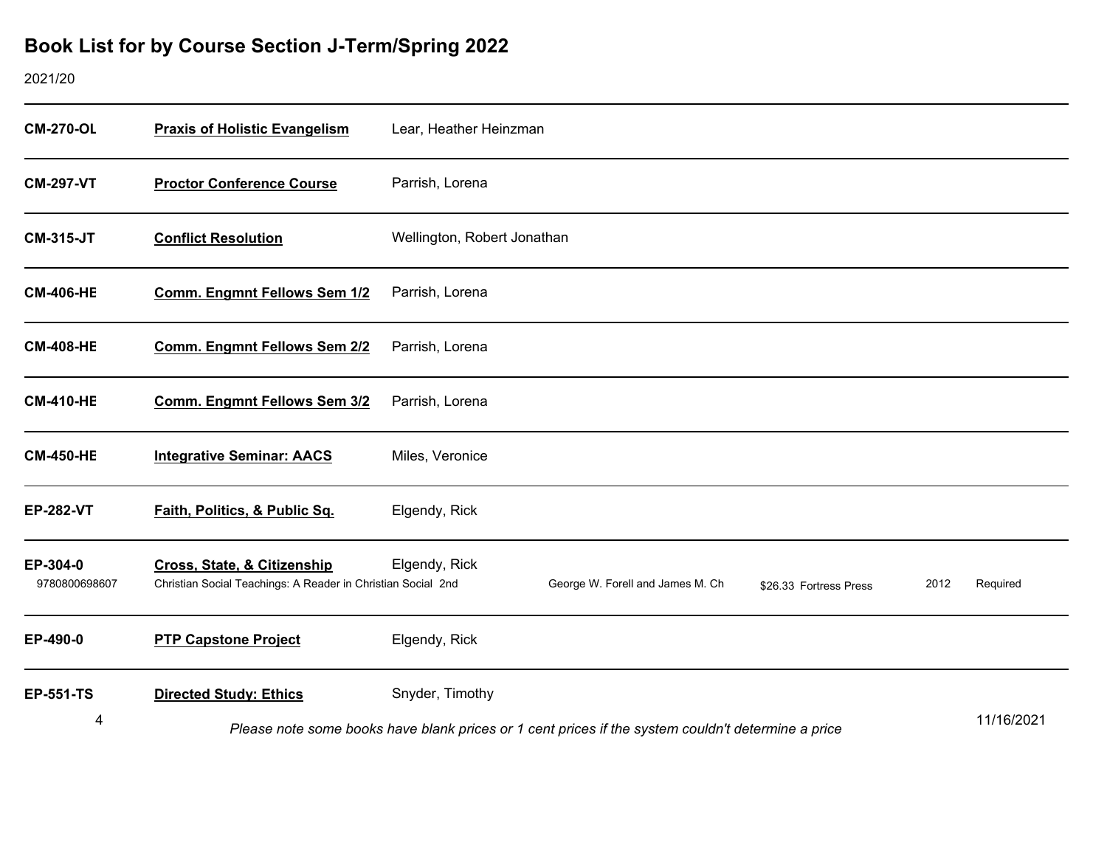| <b>CM-270-OL</b>          | <b>Praxis of Holistic Evangelism</b>                                                        | Lear, Heather Heinzman                                                                             |            |
|---------------------------|---------------------------------------------------------------------------------------------|----------------------------------------------------------------------------------------------------|------------|
| <b>CM-297-VT</b>          | <b>Proctor Conference Course</b>                                                            | Parrish, Lorena                                                                                    |            |
| <b>CM-315-JT</b>          | <b>Conflict Resolution</b>                                                                  | Wellington, Robert Jonathan                                                                        |            |
| <b>CM-406-HE</b>          | Comm. Engmnt Fellows Sem 1/2                                                                | Parrish, Lorena                                                                                    |            |
| <b>CM-408-HE</b>          | <b>Comm. Engmnt Fellows Sem 2/2</b>                                                         | Parrish, Lorena                                                                                    |            |
| <b>CM-410-HE</b>          | <b>Comm. Engmnt Fellows Sem 3/2</b>                                                         | Parrish, Lorena                                                                                    |            |
| <b>CM-450-HE</b>          | <b>Integrative Seminar: AACS</b>                                                            | Miles, Veronice                                                                                    |            |
| <b>EP-282-VT</b>          | Faith, Politics, & Public Sq.                                                               | Elgendy, Rick                                                                                      |            |
| EP-304-0<br>9780800698607 | Cross, State, & Citizenship<br>Christian Social Teachings: A Reader in Christian Social 2nd | Elgendy, Rick<br>George W. Forell and James M. Ch<br>2012<br>\$26.33 Fortress Press                | Required   |
| EP-490-0                  | <b>PTP Capstone Project</b>                                                                 | Elgendy, Rick                                                                                      |            |
| <b>EP-551-TS</b>          | <b>Directed Study: Ethics</b>                                                               | Snyder, Timothy                                                                                    |            |
| 4                         |                                                                                             | Please note some books have blank prices or 1 cent prices if the system couldn't determine a price | 11/16/2021 |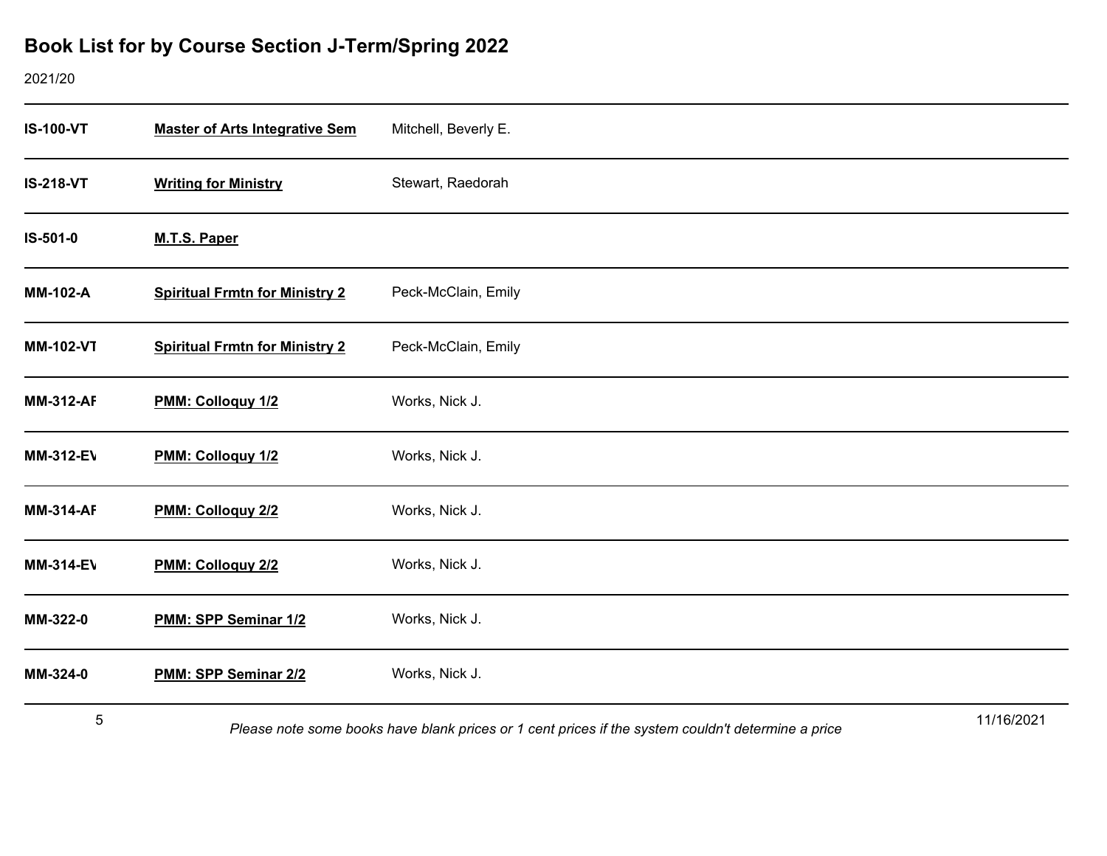### 2021/20

| <b>IS-100-VT</b> | <b>Master of Arts Integrative Sem</b> | Mitchell, Beverly E. |
|------------------|---------------------------------------|----------------------|
| <b>IS-218-VT</b> | <b>Writing for Ministry</b>           | Stewart, Raedorah    |
| IS-501-0         | M.T.S. Paper                          |                      |
| <b>MM-102-A</b>  | <b>Spiritual Frmtn for Ministry 2</b> | Peck-McClain, Emily  |
| <b>MM-102-VT</b> | <b>Spiritual Frmtn for Ministry 2</b> | Peck-McClain, Emily  |
| <b>MM-312-AF</b> | PMM: Colloguy 1/2                     | Works, Nick J.       |
| <b>MM-312-EV</b> | PMM: Colloguy 1/2                     | Works, Nick J.       |
| <b>MM-314-AF</b> | PMM: Colloquy 2/2                     | Works, Nick J.       |
| <b>MM-314-EV</b> | PMM: Colloguy 2/2                     | Works, Nick J.       |
| MM-322-0         | PMM: SPP Seminar 1/2                  | Works, Nick J.       |
| MM-324-0         | PMM: SPP Seminar 2/2                  | Works, Nick J.       |
| $\overline{r}$   |                                       | 441401004            |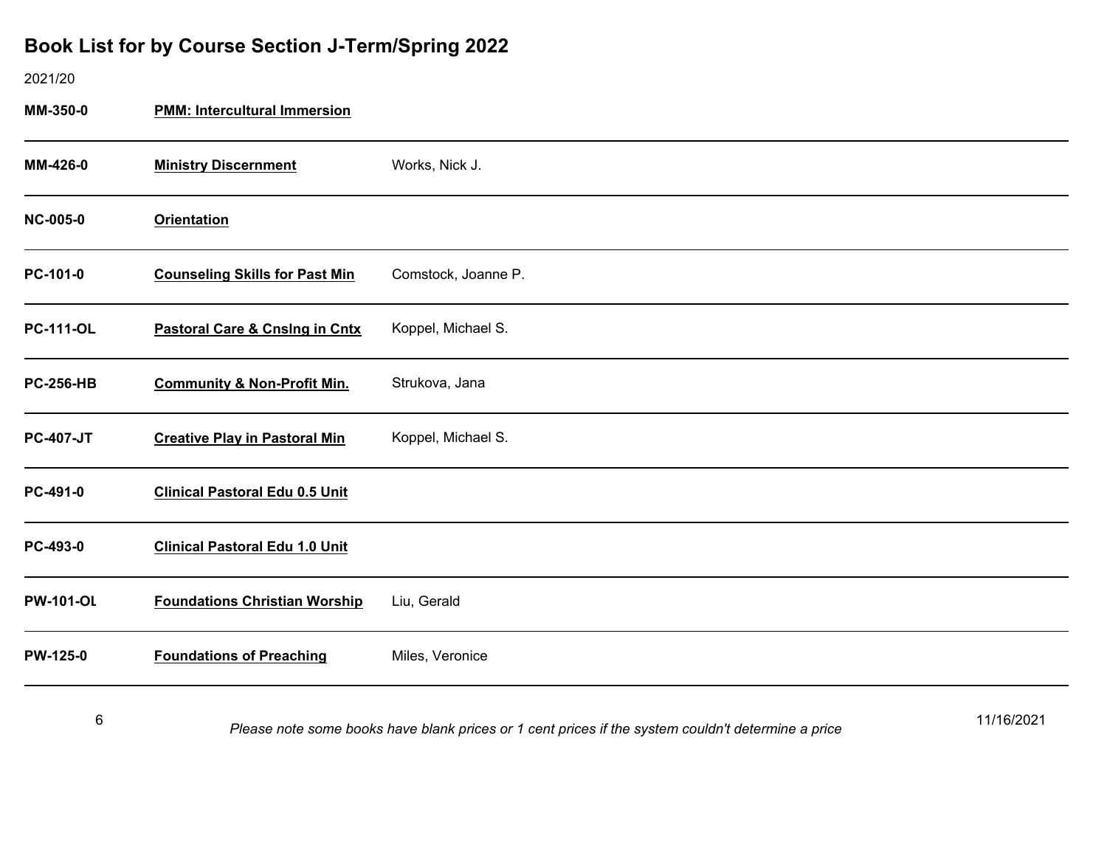#### 2021/20

**MM-350-0 PMM: Intercultural Immersion**

| MM-426-0         | <b>Ministry Discernment</b>               | Works, Nick J.      |
|------------------|-------------------------------------------|---------------------|
| <b>NC-005-0</b>  | <b>Orientation</b>                        |                     |
| PC-101-0         | <b>Counseling Skills for Past Min</b>     | Comstock, Joanne P. |
| <b>PC-111-OL</b> | <b>Pastoral Care &amp; Cnsing in Cntx</b> | Koppel, Michael S.  |
| <b>PC-256-HB</b> | <b>Community &amp; Non-Profit Min.</b>    | Strukova, Jana      |
| <b>PC-407-JT</b> | <b>Creative Play in Pastoral Min</b>      | Koppel, Michael S.  |
| PC-491-0         | <b>Clinical Pastoral Edu 0.5 Unit</b>     |                     |
| PC-493-0         | <b>Clinical Pastoral Edu 1.0 Unit</b>     |                     |
| <b>PW-101-OL</b> | <b>Foundations Christian Worship</b>      | Liu, Gerald         |
| <b>PW-125-0</b>  | <b>Foundations of Preaching</b>           | Miles, Veronice     |
|                  |                                           |                     |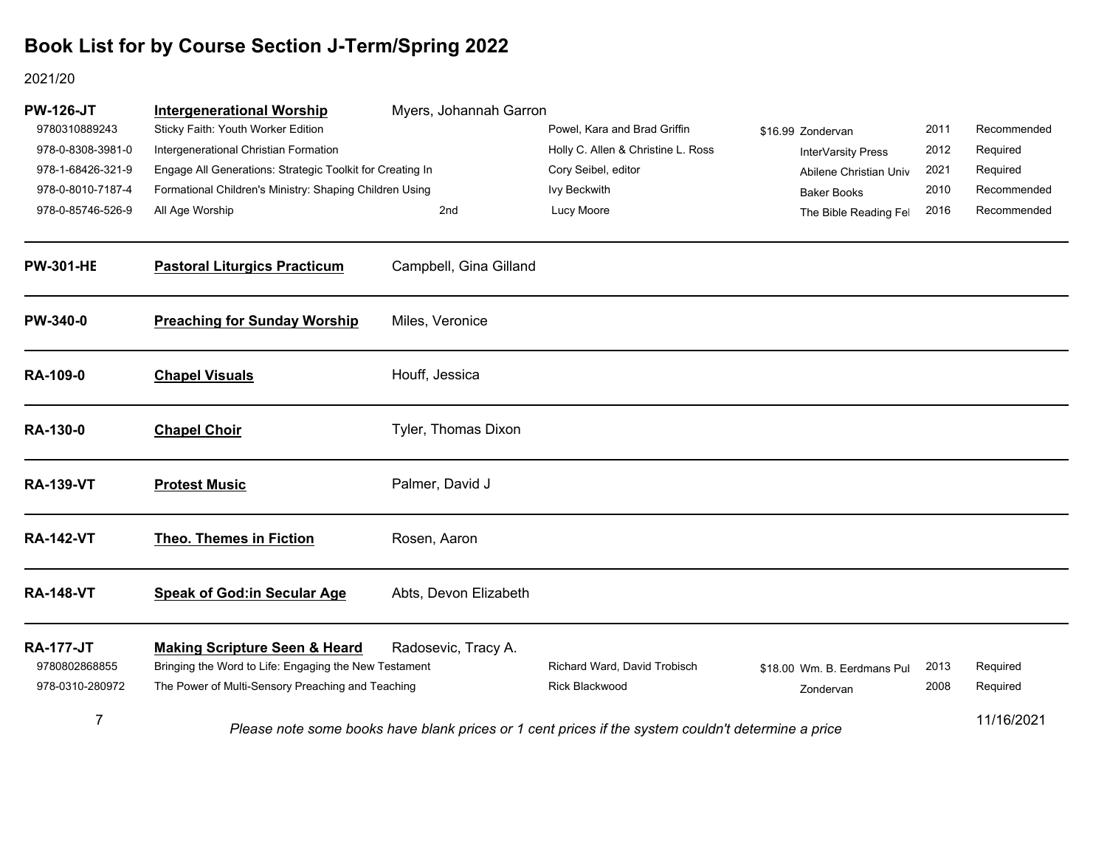| <b>PW-126-JT</b><br>9780310889243 | <b>Intergenerational Worship</b><br>Sticky Faith: Youth Worker Edition                            | Myers, Johannah Garron | Powel, Kara and Brad Griffin                                                                       | \$16.99 Zondervan           | 2011 | Recommended |
|-----------------------------------|---------------------------------------------------------------------------------------------------|------------------------|----------------------------------------------------------------------------------------------------|-----------------------------|------|-------------|
| 978-0-8308-3981-0                 | Intergenerational Christian Formation                                                             |                        | Holly C. Allen & Christine L. Ross                                                                 | InterVarsity Press          | 2012 | Required    |
| 978-1-68426-321-9                 | Engage All Generations: Strategic Toolkit for Creating In                                         |                        | Cory Seibel, editor                                                                                | Abilene Christian Univ      | 2021 | Required    |
| 978-0-8010-7187-4                 | Formational Children's Ministry: Shaping Children Using                                           |                        | Ivy Beckwith                                                                                       | <b>Baker Books</b>          | 2010 | Recommended |
| 978-0-85746-526-9                 | All Age Worship                                                                                   | 2nd                    | Lucy Moore                                                                                         | The Bible Reading Fel       | 2016 | Recommended |
| <b>PW-301-HE</b>                  | <b>Pastoral Liturgics Practicum</b>                                                               | Campbell, Gina Gilland |                                                                                                    |                             |      |             |
| PW-340-0                          | <b>Preaching for Sunday Worship</b>                                                               | Miles, Veronice        |                                                                                                    |                             |      |             |
| <b>RA-109-0</b>                   | <b>Chapel Visuals</b>                                                                             | Houff, Jessica         |                                                                                                    |                             |      |             |
| <b>RA-130-0</b>                   | <b>Chapel Choir</b>                                                                               | Tyler, Thomas Dixon    |                                                                                                    |                             |      |             |
| <b>RA-139-VT</b>                  | <b>Protest Music</b>                                                                              | Palmer, David J        |                                                                                                    |                             |      |             |
| <b>RA-142-VT</b>                  | <b>Theo. Themes in Fiction</b>                                                                    | Rosen, Aaron           |                                                                                                    |                             |      |             |
| <b>RA-148-VT</b>                  | <b>Speak of God:in Secular Age</b>                                                                | Abts, Devon Elizabeth  |                                                                                                    |                             |      |             |
| <b>RA-177-JT</b><br>9780802868855 | <b>Making Scripture Seen &amp; Heard</b><br>Bringing the Word to Life: Engaging the New Testament | Radosevic, Tracy A.    | Richard Ward, David Trobisch                                                                       | \$18.00 Wm. B. Eerdmans Pul | 2013 | Required    |
| 978-0310-280972                   | The Power of Multi-Sensory Preaching and Teaching                                                 |                        | <b>Rick Blackwood</b>                                                                              | Zondervan                   | 2008 | Required    |
| 7                                 |                                                                                                   |                        | Please note some books have blank prices or 1 cent prices if the system couldn't determine a price |                             |      | 11/16/2021  |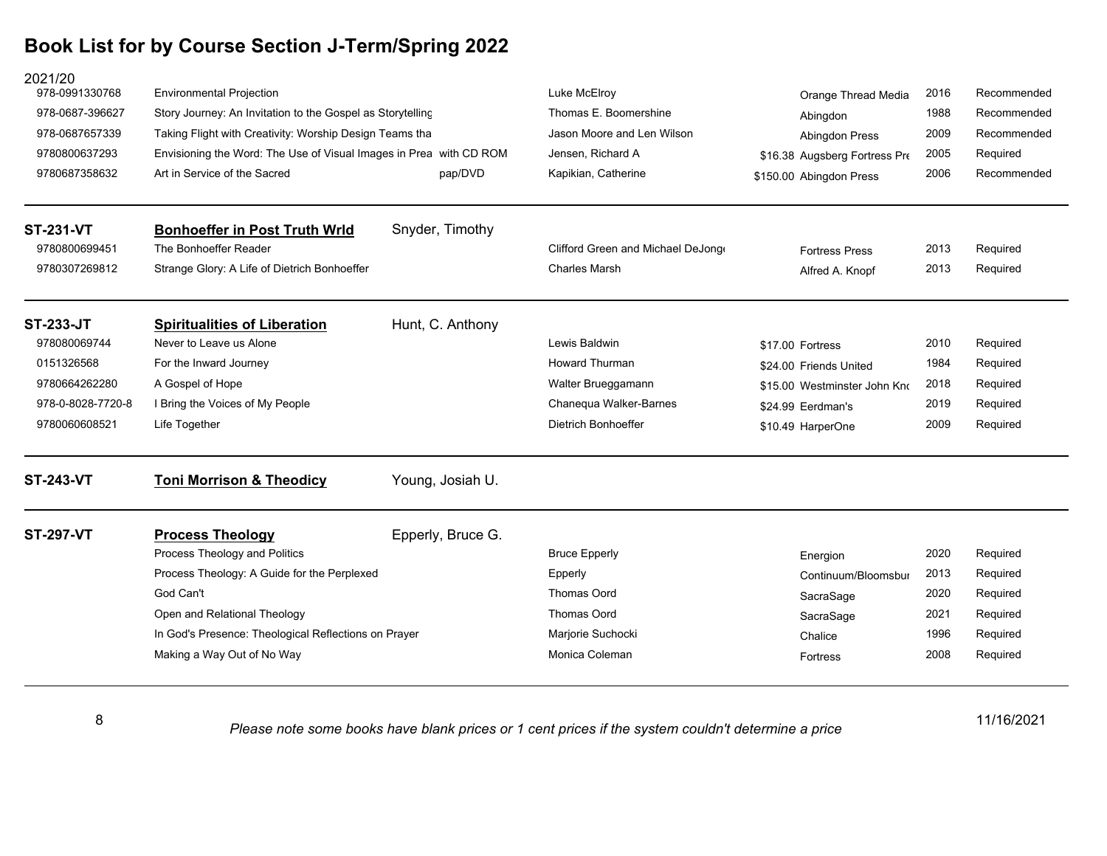| 2021/20<br>978-0991330768                                                 | <b>Environmental Projection</b>                                    |                   | Luke McElroy                      | Orange Thread Media           | 2016 | Recommended |
|---------------------------------------------------------------------------|--------------------------------------------------------------------|-------------------|-----------------------------------|-------------------------------|------|-------------|
| 978-0687-396627                                                           | Story Journey: An Invitation to the Gospel as Storytelling         |                   | Thomas E. Boomershine             | Abingdon                      | 1988 | Recommended |
| 978-0687657339<br>Taking Flight with Creativity: Worship Design Teams tha |                                                                    |                   | Jason Moore and Len Wilson        | Abingdon Press                | 2009 | Recommended |
| 9780800637293                                                             | Envisioning the Word: The Use of Visual Images in Prea with CD ROM |                   | Jensen, Richard A                 | \$16.38 Augsberg Fortress Pre | 2005 | Required    |
| 9780687358632                                                             | Art in Service of the Sacred                                       | pap/DVD           | Kapikian, Catherine               | \$150.00 Abingdon Press       | 2006 | Recommended |
| <b>ST-231-VT</b>                                                          | <b>Bonhoeffer in Post Truth Wrld</b>                               | Snyder, Timothy   |                                   |                               |      |             |
| 9780800699451                                                             | The Bonhoeffer Reader                                              |                   | Clifford Green and Michael DeJong | <b>Fortress Press</b>         | 2013 | Required    |
| 9780307269812                                                             | Strange Glory: A Life of Dietrich Bonhoeffer                       |                   | <b>Charles Marsh</b>              | Alfred A. Knopf               | 2013 | Required    |
| <b>ST-233-JT</b>                                                          | <b>Spiritualities of Liberation</b>                                | Hunt, C. Anthony  |                                   |                               |      |             |
| 978080069744                                                              | Never to Leave us Alone                                            |                   | Lewis Baldwin                     | \$17.00 Fortress              | 2010 | Required    |
| 0151326568                                                                | For the Inward Journey                                             |                   | <b>Howard Thurman</b>             | \$24.00 Friends United        | 1984 | Required    |
| 9780664262280                                                             | A Gospel of Hope                                                   |                   | Walter Brueggamann                | \$15.00 Westminster John Kno  | 2018 | Required    |
| 978-0-8028-7720-8                                                         | I Bring the Voices of My People                                    |                   | Chanequa Walker-Barnes            | \$24.99 Eerdman's             | 2019 | Required    |
| 9780060608521                                                             | Life Together                                                      |                   | <b>Dietrich Bonhoeffer</b>        | \$10.49 HarperOne             | 2009 | Required    |
| <b>ST-243-VT</b>                                                          | <b>Toni Morrison &amp; Theodicy</b>                                | Young, Josiah U.  |                                   |                               |      |             |
| <b>ST-297-VT</b>                                                          | <b>Process Theology</b>                                            | Epperly, Bruce G. |                                   |                               |      |             |
|                                                                           | Process Theology and Politics                                      |                   | <b>Bruce Epperly</b>              | Energion                      | 2020 | Required    |
|                                                                           | Process Theology: A Guide for the Perplexed                        |                   | Epperly                           | Continuum/Bloomsbur           | 2013 | Required    |
|                                                                           | God Can't                                                          |                   | <b>Thomas Oord</b>                | SacraSage                     | 2020 | Required    |
|                                                                           | Open and Relational Theology                                       |                   | Thomas Oord                       | SacraSage                     | 2021 | Required    |
|                                                                           | In God's Presence: Theological Reflections on Prayer               |                   | Marjorie Suchocki                 | Chalice                       | 1996 | Required    |
|                                                                           | Making a Way Out of No Way                                         |                   | Monica Coleman                    | Fortress                      | 2008 | Required    |

8